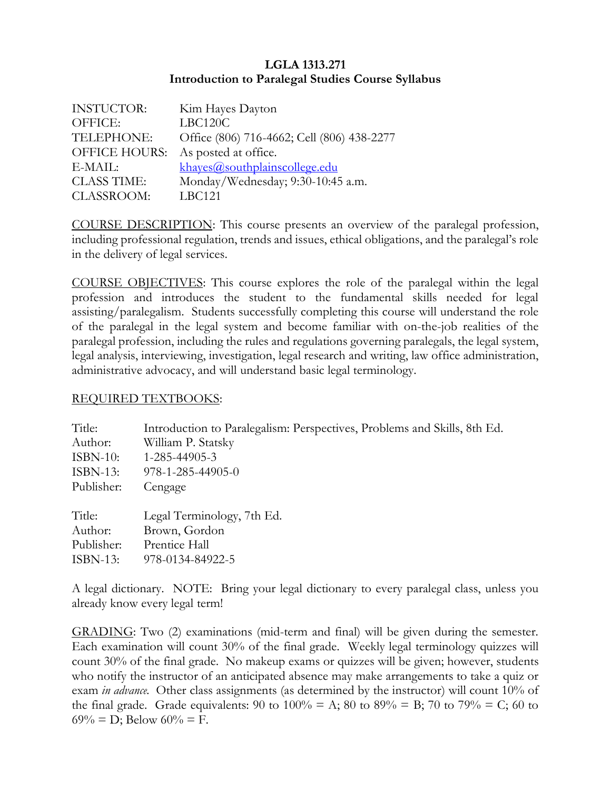## **LGLA 1313.271 Introduction to Paralegal Studies Course Syllabus**

| <b>INSTUCTOR:</b>    | Kim Hayes Dayton                           |
|----------------------|--------------------------------------------|
| OFFICE:              | LBC120C                                    |
| TELEPHONE:           | Office (806) 716-4662; Cell (806) 438-2277 |
| <b>OFFICE HOURS:</b> | As posted at office.                       |
| E-MAIL:              | khayes@southplainscollege.edu              |
| <b>CLASS TIME:</b>   | Monday/Wednesday; 9:30-10:45 a.m.          |
| <b>CLASSROOM:</b>    | <b>LBC121</b>                              |

COURSE DESCRIPTION: This course presents an overview of the paralegal profession, including professional regulation, trends and issues, ethical obligations, and the paralegal's role in the delivery of legal services.

COURSE OBJECTIVES: This course explores the role of the paralegal within the legal profession and introduces the student to the fundamental skills needed for legal assisting/paralegalism. Students successfully completing this course will understand the role of the paralegal in the legal system and become familiar with on-the-job realities of the paralegal profession, including the rules and regulations governing paralegals, the legal system, legal analysis, interviewing, investigation, legal research and writing, law office administration, administrative advocacy, and will understand basic legal terminology.

## REQUIRED TEXTBOOKS:

| Title:      | Introduction to Paralegalism: Perspectives, Problems and Skills, 8th Ed. |
|-------------|--------------------------------------------------------------------------|
| Author:     | William P. Statsky                                                       |
| $ISBN-10:$  | 1-285-44905-3                                                            |
| $ISBN-13:$  | $978 - 1 - 285 - 44905 - 0$                                              |
| Publisher:  | Cengage                                                                  |
| Title:      | Legal Terminology, 7th Ed.                                               |
| Author:     | Brown, Gordon                                                            |
| Publisher:  | Prentice Hall                                                            |
| $ISBN-13$ : | 978-0134-84922-5                                                         |

A legal dictionary. NOTE: Bring your legal dictionary to every paralegal class, unless you already know every legal term!

GRADING: Two (2) examinations (mid-term and final) will be given during the semester. Each examination will count 30% of the final grade. Weekly legal terminology quizzes will count 30% of the final grade. No makeup exams or quizzes will be given; however, students who notify the instructor of an anticipated absence may make arrangements to take a quiz or exam *in advance.* Other class assignments (as determined by the instructor) will count 10% of the final grade. Grade equivalents: 90 to  $100\% = A$ ; 80 to 89% = B; 70 to 79% = C; 60 to  $69\% = D$ ; Below  $60\% = F$ .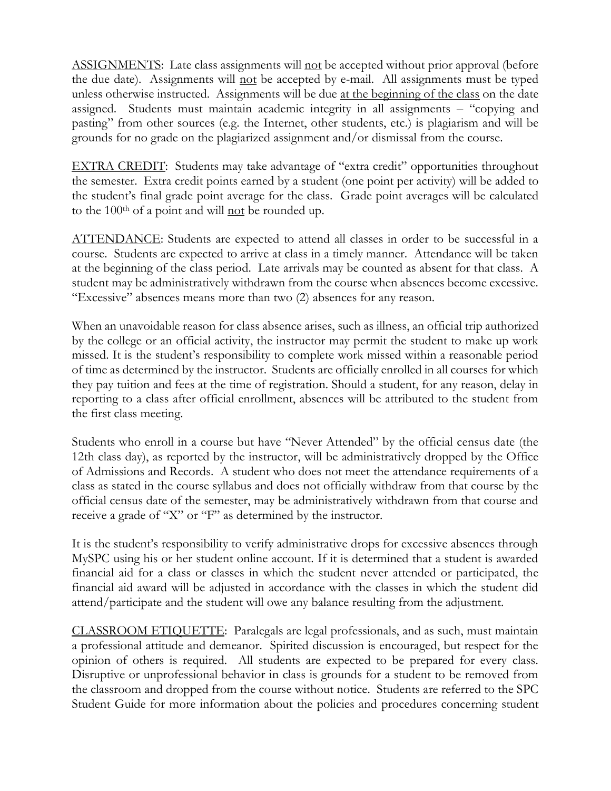ASSIGNMENTS: Late class assignments will not be accepted without prior approval (before the due date). Assignments will not be accepted by e-mail. All assignments must be typed unless otherwise instructed. Assignments will be due at the beginning of the class on the date assigned. Students must maintain academic integrity in all assignments – "copying and pasting" from other sources (e.g. the Internet, other students, etc.) is plagiarism and will be grounds for no grade on the plagiarized assignment and/or dismissal from the course.

EXTRA CREDIT: Students may take advantage of "extra credit" opportunities throughout the semester. Extra credit points earned by a student (one point per activity) will be added to the student's final grade point average for the class. Grade point averages will be calculated to the  $100<sup>th</sup>$  of a point and will not be rounded up.

ATTENDANCE: Students are expected to attend all classes in order to be successful in a course. Students are expected to arrive at class in a timely manner. Attendance will be taken at the beginning of the class period. Late arrivals may be counted as absent for that class. A student may be administratively withdrawn from the course when absences become excessive. "Excessive" absences means more than two (2) absences for any reason.

When an unavoidable reason for class absence arises, such as illness, an official trip authorized by the college or an official activity, the instructor may permit the student to make up work missed. It is the student's responsibility to complete work missed within a reasonable period of time as determined by the instructor. Students are officially enrolled in all courses for which they pay tuition and fees at the time of registration. Should a student, for any reason, delay in reporting to a class after official enrollment, absences will be attributed to the student from the first class meeting.

Students who enroll in a course but have "Never Attended" by the official census date (the 12th class day), as reported by the instructor, will be administratively dropped by the Office of Admissions and Records. A student who does not meet the attendance requirements of a class as stated in the course syllabus and does not officially withdraw from that course by the official census date of the semester, may be administratively withdrawn from that course and receive a grade of "X" or "F" as determined by the instructor.

It is the student's responsibility to verify administrative drops for excessive absences through MySPC using his or her student online account. If it is determined that a student is awarded financial aid for a class or classes in which the student never attended or participated, the financial aid award will be adjusted in accordance with the classes in which the student did attend/participate and the student will owe any balance resulting from the adjustment.

CLASSROOM ETIQUETTE: Paralegals are legal professionals, and as such, must maintain a professional attitude and demeanor. Spirited discussion is encouraged, but respect for the opinion of others is required. All students are expected to be prepared for every class. Disruptive or unprofessional behavior in class is grounds for a student to be removed from the classroom and dropped from the course without notice. Students are referred to the SPC Student Guide for more information about the policies and procedures concerning student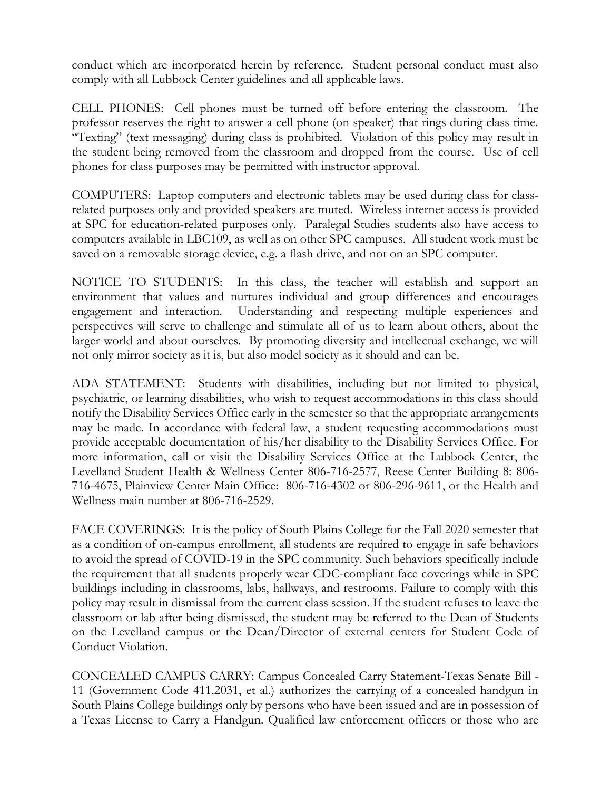conduct which are incorporated herein by reference. Student personal conduct must also comply with all Lubbock Center guidelines and all applicable laws.

CELL PHONES: Cell phones must be turned off before entering the classroom. The professor reserves the right to answer a cell phone (on speaker) that rings during class time. "Texting" (text messaging) during class is prohibited. Violation of this policy may result in the student being removed from the classroom and dropped from the course. Use of cell phones for class purposes may be permitted with instructor approval.

COMPUTERS: Laptop computers and electronic tablets may be used during class for classrelated purposes only and provided speakers are muted. Wireless internet access is provided at SPC for education-related purposes only. Paralegal Studies students also have access to computers available in LBC109, as well as on other SPC campuses. All student work must be saved on a removable storage device, e.g. a flash drive, and not on an SPC computer.

NOTICE TO STUDENTS: In this class, the teacher will establish and support an environment that values and nurtures individual and group differences and encourages engagement and interaction. Understanding and respecting multiple experiences and perspectives will serve to challenge and stimulate all of us to learn about others, about the larger world and about ourselves. By promoting diversity and intellectual exchange, we will not only mirror society as it is, but also model society as it should and can be.

ADA STATEMENT: Students with disabilities, including but not limited to physical, psychiatric, or learning disabilities, who wish to request accommodations in this class should notify the Disability Services Office early in the semester so that the appropriate arrangements may be made. In accordance with federal law, a student requesting accommodations must provide acceptable documentation of his/her disability to the Disability Services Office. For more information, call or visit the Disability Services Office at the Lubbock Center, the Levelland Student Health & Wellness Center 806-716-2577, Reese Center Building 8: 806- 716-4675, Plainview Center Main Office: 806-716-4302 or 806-296-9611, or the Health and Wellness main number at 806-716-2529.

FACE COVERINGS: It is the policy of South Plains College for the Fall 2020 semester that as a condition of on-campus enrollment, all students are required to engage in safe behaviors to avoid the spread of COVID-19 in the SPC community. Such behaviors specifically include the requirement that all students properly wear CDC-compliant face coverings while in SPC buildings including in classrooms, labs, hallways, and restrooms. Failure to comply with this policy may result in dismissal from the current class session. If the student refuses to leave the classroom or lab after being dismissed, the student may be referred to the Dean of Students on the Levelland campus or the Dean/Director of external centers for Student Code of Conduct Violation.

CONCEALED CAMPUS CARRY: Campus Concealed Carry Statement-Texas Senate Bill - 11 (Government Code 411.2031, et al.) authorizes the carrying of a concealed handgun in South Plains College buildings only by persons who have been issued and are in possession of a Texas License to Carry a Handgun. Qualified law enforcement officers or those who are